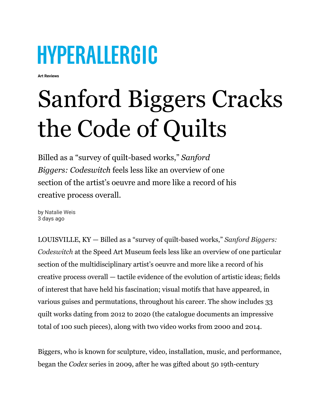## **HYPERALLERGIC**

**Art Reviews**

## Sanford Biggers Cracks the Code of Quilts

Billed as a "survey of quilt-based works," *Sanford Biggers: Codeswitch* feels less like an overview of one section of the artist's oeuvre and more like a record of his creative process overall.

by [Natalie Weis](https://hyperallergic.com/author/natalie-weis/) 3 days ago

LOUISVILLE, KY — Billed as a "survey of quilt-based works," *Sanford [Biggers:](https://www.speedmuseum.org/exhibitions/sanford-biggers-codeswitch/) [Codeswitch](https://www.speedmuseum.org/exhibitions/sanford-biggers-codeswitch/)* at the Speed Art Museum feels less like an overview of one particular section of the multidisciplinary artist's oeuvre and more like a record of his creative process overall — tactile evidence of the evolution of artistic ideas; fields of interest that have held his fascination; visual motifs that have appeared, in various guises and permutations, throughout his career. The show includes 33 quilt works dating from 2012 to 2020 (the catalogue documents an impressive total of 100 such pieces), along with two video works from 2000 and 2014.

Biggers, who is known for sculpture, video, installation, music, and performance, began the *Codex* series in 2009, after he was gifted about 50 19th-century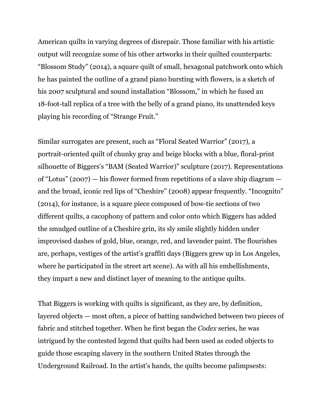American quilts in varying degrees of disrepair. Those familiar with his artistic output will recognize some of his other artworks in their quilted counterparts: "Blossom Study" (2014), a square quilt of small, hexagonal patchwork onto which he has painted the outline of a grand piano bursting with flowers, is a sketch of his 2007 sculptural and sound installation "Blossom," in which he fused an 18-foot-tall replica of a tree with the belly of a grand piano, its unattended keys playing his recording of "Strange Fruit."

Similar surrogates are present, such as "Floral Seated Warrior" (2017), a portrait-oriented quilt of chunky gray and beige blocks with a blue, floral-print silhouette of Biggers's "BAM (Seated Warrior)" sculpture (2017). Representations of "Lotus" (2007) — his flower formed from repetitions of a slave ship diagram and the broad, iconic red lips of "Cheshire" (2008) appear frequently. "Incognito" (2014), for instance, is a square piece composed of bow-tie sections of two different quilts, a cacophony of pattern and color onto which Biggers has added the smudged outline of a Cheshire grin, its sly smile slightly hidden under improvised dashes of gold, blue, orange, red, and lavender paint. The flourishes are, perhaps, vestiges of the artist's graffiti days (Biggers grew up in Los Angeles, where he participated in the street art scene). As with all his embellishments, they impart a new and distinct layer of meaning to the antique quilts.

That Biggers is working with quilts is significant, as they are, by definition, layered objects — most often, a piece of batting sandwiched between two pieces of fabric and stitched together. When he first began the *Codex* series, he was intrigued by the contested legend that quilts had been used as coded objects to guide those escaping slavery in the southern United States through the Underground Railroad. In the artist's hands, the quilts become palimpsests: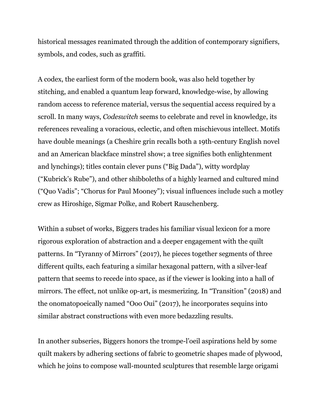historical messages reanimated through the addition of contemporary signifiers, symbols, and codes, such as graffiti.

A codex, the earliest form of the modern book, was also held together by stitching, and enabled a quantum leap forward, knowledge-wise, by allowing random access to reference material, versus the sequential access required by a scroll. In many ways, *Codeswitch* seems to celebrate and revel in knowledge, its references revealing a voracious, eclectic, and often mischievous intellect. Motifs have double meanings (a Cheshire grin recalls both a 19th-century English novel and an American blackface minstrel show; a tree signifies both enlightenment and lynchings); titles contain clever puns ("Big Dada"), witty wordplay ("Kubrick's Rube"), and other shibboleths of a highly learned and cultured mind ("Quo Vadis"; "Chorus for Paul Mooney"); visual influences include such a motley crew as Hiroshige, Sigmar Polke, and Robert Rauschenberg.

Within a subset of works, Biggers trades his familiar visual lexicon for a more rigorous exploration of abstraction and a deeper engagement with the quilt patterns. In "Tyranny of Mirrors" (2017), he pieces together segments of three different quilts, each featuring a similar hexagonal pattern, with a silver-leaf pattern that seems to recede into space, as if the viewer is looking into a hall of mirrors. The effect, not unlike op-art, is mesmerizing. In "Transition" (2018) and the onomatopoeically named "Ooo Oui" (2017), he incorporates sequins into similar abstract constructions with even more bedazzling results.

In another subseries, Biggers honors the trompe-l'oeil aspirations held by some quilt makers by adhering sections of fabric to geometric shapes made of plywood, which he joins to compose wall-mounted sculptures that resemble large origami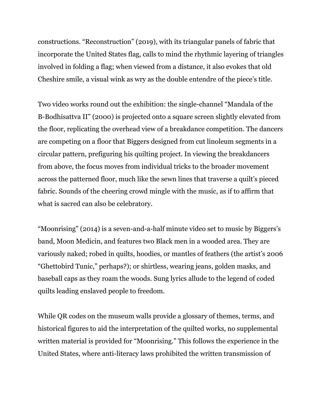constructions. "Reconstruction" (2019), with its triangular panels of fabric that incorporate the United States flag, calls to mind the rhythmic layering of triangles involved in folding a flag; when viewed from a distance, it also evokes that old Cheshire smile, a visual wink as wry as the double entendre of the piece's title.

Two video works round out the exhibition: the single-channel "Mandala of the B-Bodhisattva II" (2000) is projected onto a square screen slightly elevated from the floor, replicating the overhead view of a breakdance competition. The dancers are competing on a floor that Biggers designed from cut linoleum segments in a circular pattern, prefiguring his quilting project. In viewing the breakdancers from above, the focus moves from individual tricks to the broader movement across the patterned floor, much like the sewn lines that traverse a quilt's pieced fabric. Sounds of the cheering crowd mingle with the music, as if to affirm that what is sacred can also be celebratory.

"Moonrising" (2014) is a seven-and-a-half minute video set to music by Biggers's band, Moon Medicin, and features two Black men in a wooded area. They are variously naked; robed in quilts, hoodies, or mantles of feathers (the artist's 2006 "Ghettobird Tunic," perhaps?); or shirtless, wearing jeans, golden masks, and baseball caps as they roam the woods. Sung lyrics allude to the legend of coded quilts leading enslaved people to freedom.

While QR codes on the museum walls provide a glossary of themes, terms, and historical figures to aid the interpretation of the quilted works, no supplemental written material is provided for "Moonrising." This follows the experience in the United States, where anti-literacy laws prohibited the written transmission of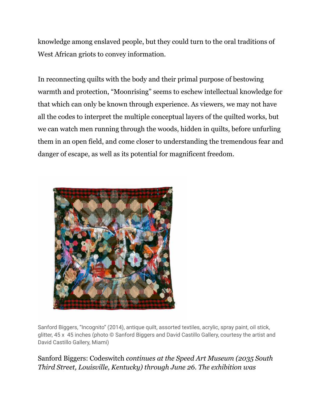knowledge among enslaved people, but they could turn to the oral traditions of West African griots to convey information.

In reconnecting quilts with the body and their primal purpose of bestowing warmth and protection, "Moonrising" seems to eschew intellectual knowledge for that which can only be known through experience. As viewers, we may not have all the codes to interpret the multiple conceptual layers of the quilted works, but we can watch men running through the woods, hidden in quilts, before unfurling them in an open field, and come closer to understanding the tremendous fear and danger of escape, as well as its potential for magnificent freedom.



Sanford Biggers, "Incognito" (2014), antique quilt, assorted textiles, acrylic, spray paint, oil stick, glitter, 45 x 45 inches (photo © Sanford Biggers and David Castillo Gallery, courtesy the artist and David Castillo Gallery, Miami)

## Sanford Biggers: Codeswitch *continues at the Speed Art Museum (2035 South Third Street, Louisville, Kentucky) through June 26. The exhibition was*